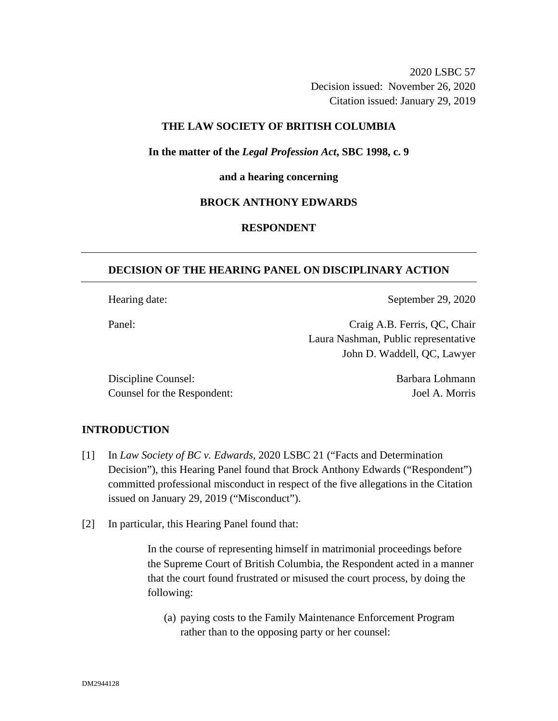2020 LSBC 57 Decision issued: November 26, 2020 Citation issued: January 29, 2019

## **THE LAW SOCIETY OF BRITISH COLUMBIA**

**In the matter of the** *Legal Profession Act***, SBC 1998, c. 9** 

#### **and a hearing concerning**

## **BROCK ANTHONY EDWARDS**

## **RESPONDENT**

## **DECISION OF THE HEARING PANEL ON DISCIPLINARY ACTION**

Hearing date: September 29, 2020

Panel: Craig A.B. Ferris, QC, Chair Laura Nashman, Public representative John D. Waddell, QC, Lawyer

Discipline Counsel: Barbara Lohmann Counsel for the Respondent: Joel A. Morris

### **INTRODUCTION**

- [1] In *Law Society of BC v. Edwards*, 2020 LSBC 21 ("Facts and Determination Decision"), this Hearing Panel found that Brock Anthony Edwards ("Respondent") committed professional misconduct in respect of the five allegations in the Citation issued on January 29, 2019 ("Misconduct").
- [2] In particular, this Hearing Panel found that:

In the course of representing himself in matrimonial proceedings before the Supreme Court of British Columbia, the Respondent acted in a manner that the court found frustrated or misused the court process, by doing the following:

(a) paying costs to the Family Maintenance Enforcement Program rather than to the opposing party or her counsel: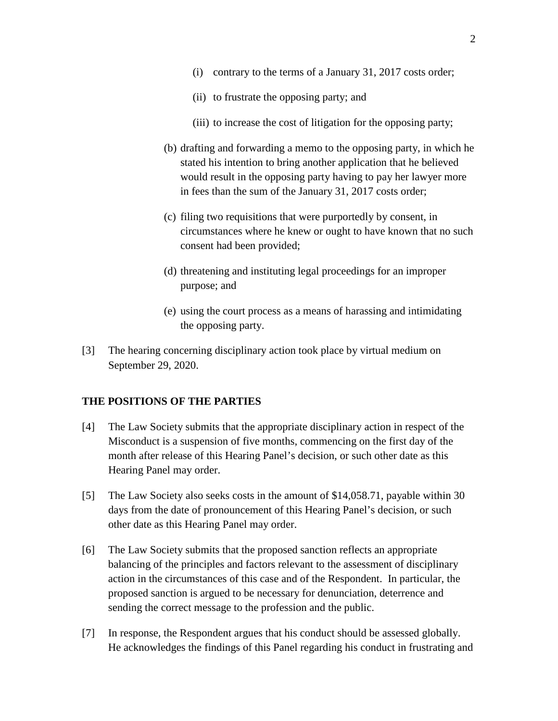- (i) contrary to the terms of a January 31, 2017 costs order;
- (ii) to frustrate the opposing party; and
- (iii) to increase the cost of litigation for the opposing party;
- (b) drafting and forwarding a memo to the opposing party, in which he stated his intention to bring another application that he believed would result in the opposing party having to pay her lawyer more in fees than the sum of the January 31, 2017 costs order;
- (c) filing two requisitions that were purportedly by consent, in circumstances where he knew or ought to have known that no such consent had been provided;
- (d) threatening and instituting legal proceedings for an improper purpose; and
- (e) using the court process as a means of harassing and intimidating the opposing party.
- [3] The hearing concerning disciplinary action took place by virtual medium on September 29, 2020.

#### **THE POSITIONS OF THE PARTIES**

- [4] The Law Society submits that the appropriate disciplinary action in respect of the Misconduct is a suspension of five months, commencing on the first day of the month after release of this Hearing Panel's decision, or such other date as this Hearing Panel may order.
- [5] The Law Society also seeks costs in the amount of \$14,058.71, payable within 30 days from the date of pronouncement of this Hearing Panel's decision, or such other date as this Hearing Panel may order.
- [6] The Law Society submits that the proposed sanction reflects an appropriate balancing of the principles and factors relevant to the assessment of disciplinary action in the circumstances of this case and of the Respondent. In particular, the proposed sanction is argued to be necessary for denunciation, deterrence and sending the correct message to the profession and the public.
- [7] In response, the Respondent argues that his conduct should be assessed globally. He acknowledges the findings of this Panel regarding his conduct in frustrating and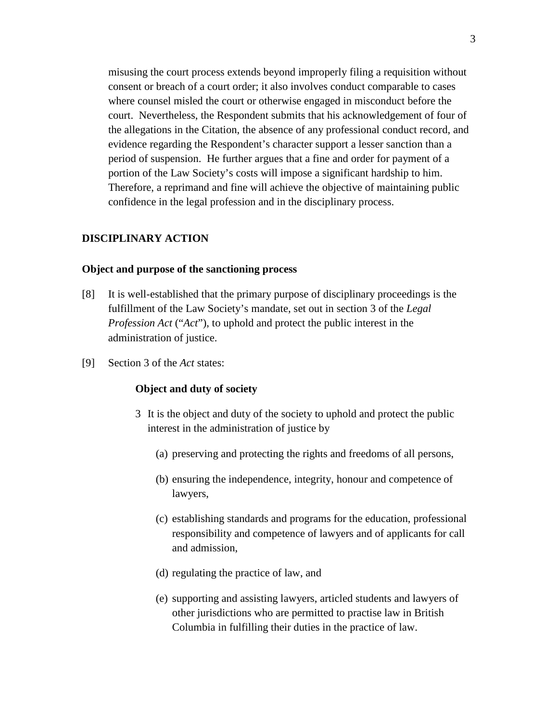misusing the court process extends beyond improperly filing a requisition without consent or breach of a court order; it also involves conduct comparable to cases where counsel misled the court or otherwise engaged in misconduct before the court. Nevertheless, the Respondent submits that his acknowledgement of four of the allegations in the Citation, the absence of any professional conduct record, and evidence regarding the Respondent's character support a lesser sanction than a period of suspension. He further argues that a fine and order for payment of a portion of the Law Society's costs will impose a significant hardship to him. Therefore, a reprimand and fine will achieve the objective of maintaining public confidence in the legal profession and in the disciplinary process.

#### **DISCIPLINARY ACTION**

### **Object and purpose of the sanctioning process**

- [8] It is well-established that the primary purpose of disciplinary proceedings is the fulfillment of the Law Society's mandate, set out in section 3 of the *Legal Profession Act* ("*Act*"), to uphold and protect the public interest in the administration of justice.
- [9] Section 3 of the *Act* states:

#### **Object and duty of society**

- 3 It is the object and duty of the society to uphold and protect the public interest in the administration of justice by
	- (a) preserving and protecting the rights and freedoms of all persons,
	- (b) ensuring the independence, integrity, honour and competence of lawyers,
	- (c) establishing standards and programs for the education, professional responsibility and competence of lawyers and of applicants for call and admission,
	- (d) regulating the practice of law, and
	- (e) supporting and assisting lawyers, articled students and lawyers of other jurisdictions who are permitted to practise law in British Columbia in fulfilling their duties in the practice of law.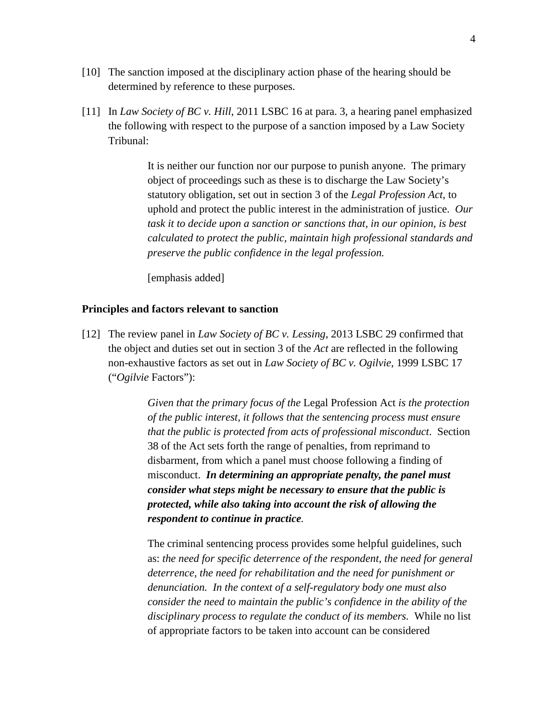- [10] The sanction imposed at the disciplinary action phase of the hearing should be determined by reference to these purposes.
- [11] In *Law Society of BC v. Hill*, 2011 LSBC 16 at para. 3, a hearing panel emphasized the following with respect to the purpose of a sanction imposed by a Law Society Tribunal:

It is neither our function nor our purpose to punish anyone. The primary object of proceedings such as these is to discharge the Law Society's statutory obligation, set out in section 3 of the *Legal Profession Act*, to uphold and protect the public interest in the administration of justice. *Our task it to decide upon a sanction or sanctions that, in our opinion, is best calculated to protect the public, maintain high professional standards and preserve the public confidence in the legal profession.*

[emphasis added]

#### **Principles and factors relevant to sanction**

[12] The review panel in *Law Society of BC v. Lessing*, 2013 LSBC 29 confirmed that the object and duties set out in section 3 of the *Act* are reflected in the following non-exhaustive factors as set out in *Law Society of BC v. Ogilvie*, 1999 LSBC 17 ("*Ogilvie* Factors"):

> *Given that the primary focus of the* Legal Profession Act *is the protection of the public interest, it follows that the sentencing process must ensure that the public is protected from acts of professional misconduct*. Section 38 of the Act sets forth the range of penalties, from reprimand to disbarment, from which a panel must choose following a finding of misconduct. *In determining an appropriate penalty, the panel must consider what steps might be necessary to ensure that the public is protected, while also taking into account the risk of allowing the respondent to continue in practice.*

> The criminal sentencing process provides some helpful guidelines, such as: *the need for specific deterrence of the respondent, the need for general deterrence, the need for rehabilitation and the need for punishment or denunciation. In the context of a self-regulatory body one must also consider the need to maintain the public's confidence in the ability of the disciplinary process to regulate the conduct of its members.* While no list of appropriate factors to be taken into account can be considered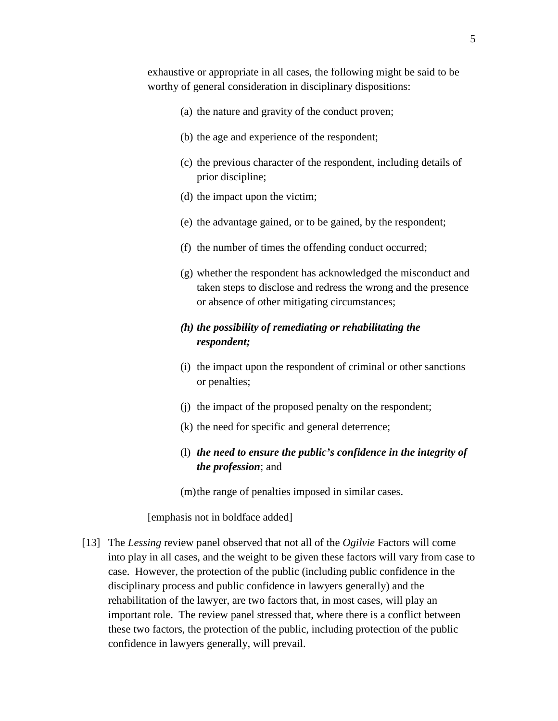- (a) the nature and gravity of the conduct proven;
- (b) the age and experience of the respondent;
- (c) the previous character of the respondent, including details of prior discipline;
- (d) the impact upon the victim;
- (e) the advantage gained, or to be gained, by the respondent;
- (f) the number of times the offending conduct occurred;
- (g) whether the respondent has acknowledged the misconduct and taken steps to disclose and redress the wrong and the presence or absence of other mitigating circumstances;

# *(h) the possibility of remediating or rehabilitating the respondent;*

- (i) the impact upon the respondent of criminal or other sanctions or penalties;
- (j) the impact of the proposed penalty on the respondent;
- (k) the need for specific and general deterrence;
- (l) *the need to ensure the public's confidence in the integrity of the profession*; and
- (m)the range of penalties imposed in similar cases.

### [emphasis not in boldface added]

[13] The *Lessing* review panel observed that not all of the *Ogilvie* Factors will come into play in all cases, and the weight to be given these factors will vary from case to case. However, the protection of the public (including public confidence in the disciplinary process and public confidence in lawyers generally) and the rehabilitation of the lawyer, are two factors that, in most cases, will play an important role. The review panel stressed that, where there is a conflict between these two factors, the protection of the public, including protection of the public confidence in lawyers generally, will prevail.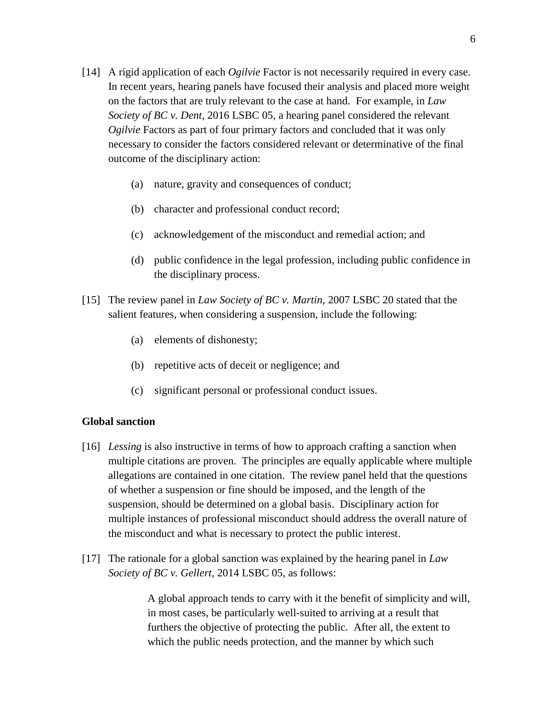- [14] A rigid application of each *Ogilvie* Factor is not necessarily required in every case. In recent years, hearing panels have focused their analysis and placed more weight on the factors that are truly relevant to the case at hand. For example, in *Law Society of BC v. Dent*, 2016 LSBC 05, a hearing panel considered the relevant *Ogilvie* Factors as part of four primary factors and concluded that it was only necessary to consider the factors considered relevant or determinative of the final outcome of the disciplinary action:
	- (a) nature, gravity and consequences of conduct;
	- (b) character and professional conduct record;
	- (c) acknowledgement of the misconduct and remedial action; and
	- (d) public confidence in the legal profession, including public confidence in the disciplinary process.
- [15] The review panel in *Law Society of BC v. Martin*, 2007 LSBC 20 stated that the salient features, when considering a suspension, include the following:
	- (a) elements of dishonesty;
	- (b) repetitive acts of deceit or negligence; and
	- (c) significant personal or professional conduct issues.

## **Global sanction**

- [16] *Lessing* is also instructive in terms of how to approach crafting a sanction when multiple citations are proven. The principles are equally applicable where multiple allegations are contained in one citation. The review panel held that the questions of whether a suspension or fine should be imposed, and the length of the suspension, should be determined on a global basis. Disciplinary action for multiple instances of professional misconduct should address the overall nature of the misconduct and what is necessary to protect the public interest.
- [17] The rationale for a global sanction was explained by the hearing panel in *Law Society of BC v. Gellert*, 2014 LSBC 05, as follows:

A global approach tends to carry with it the benefit of simplicity and will, in most cases, be particularly well-suited to arriving at a result that furthers the objective of protecting the public. After all, the extent to which the public needs protection, and the manner by which such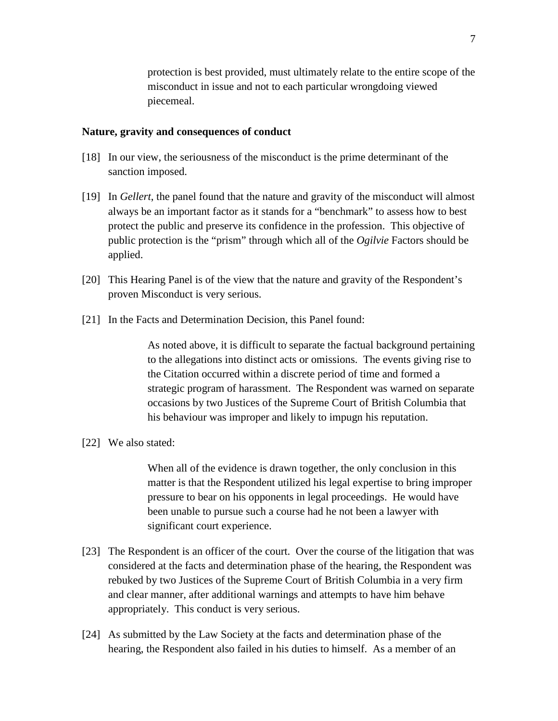protection is best provided, must ultimately relate to the entire scope of the misconduct in issue and not to each particular wrongdoing viewed piecemeal.

#### **Nature, gravity and consequences of conduct**

- [18] In our view, the seriousness of the misconduct is the prime determinant of the sanction imposed.
- [19] In *Gellert*, the panel found that the nature and gravity of the misconduct will almost always be an important factor as it stands for a "benchmark" to assess how to best protect the public and preserve its confidence in the profession. This objective of public protection is the "prism" through which all of the *Ogilvie* Factors should be applied.
- [20] This Hearing Panel is of the view that the nature and gravity of the Respondent's proven Misconduct is very serious.
- [21] In the Facts and Determination Decision, this Panel found:

As noted above, it is difficult to separate the factual background pertaining to the allegations into distinct acts or omissions. The events giving rise to the Citation occurred within a discrete period of time and formed a strategic program of harassment. The Respondent was warned on separate occasions by two Justices of the Supreme Court of British Columbia that his behaviour was improper and likely to impugn his reputation.

[22] We also stated:

When all of the evidence is drawn together, the only conclusion in this matter is that the Respondent utilized his legal expertise to bring improper pressure to bear on his opponents in legal proceedings. He would have been unable to pursue such a course had he not been a lawyer with significant court experience.

- [23] The Respondent is an officer of the court. Over the course of the litigation that was considered at the facts and determination phase of the hearing, the Respondent was rebuked by two Justices of the Supreme Court of British Columbia in a very firm and clear manner, after additional warnings and attempts to have him behave appropriately. This conduct is very serious.
- [24] As submitted by the Law Society at the facts and determination phase of the hearing, the Respondent also failed in his duties to himself. As a member of an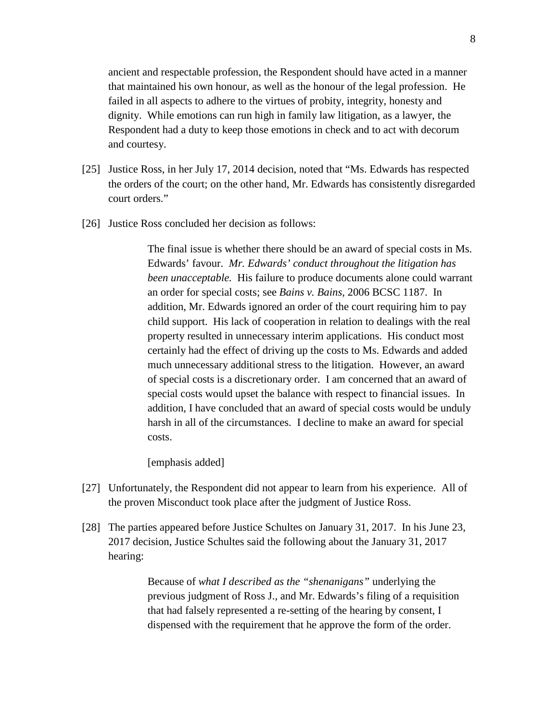ancient and respectable profession, the Respondent should have acted in a manner that maintained his own honour, as well as the honour of the legal profession. He failed in all aspects to adhere to the virtues of probity, integrity, honesty and dignity. While emotions can run high in family law litigation, as a lawyer, the Respondent had a duty to keep those emotions in check and to act with decorum and courtesy.

- [25] Justice Ross, in her July 17, 2014 decision, noted that "Ms. Edwards has respected the orders of the court; on the other hand, Mr. Edwards has consistently disregarded court orders."
- [26] Justice Ross concluded her decision as follows:

The final issue is whether there should be an award of special costs in Ms. Edwards' favour. *Mr. Edwards' conduct throughout the litigation has been unacceptable.*His failure to produce documents alone could warrant an order for special costs; see *Bains v. Bains*, 2006 BCSC 1187. In addition, Mr. Edwards ignored an order of the court requiring him to pay child support. His lack of cooperation in relation to dealings with the real property resulted in unnecessary interim applications. His conduct most certainly had the effect of driving up the costs to Ms. Edwards and added much unnecessary additional stress to the litigation. However, an award of special costs is a discretionary order. I am concerned that an award of special costs would upset the balance with respect to financial issues. In addition, I have concluded that an award of special costs would be unduly harsh in all of the circumstances. I decline to make an award for special costs.

[emphasis added]

- [27] Unfortunately, the Respondent did not appear to learn from his experience. All of the proven Misconduct took place after the judgment of Justice Ross.
- [28] The parties appeared before Justice Schultes on January 31, 2017. In his June 23, 2017 decision, Justice Schultes said the following about the January 31, 2017 hearing:

Because of *what I described as the "shenanigans"* underlying the previous judgment of Ross J., and Mr. Edwards's filing of a requisition that had falsely represented a re-setting of the hearing by consent, I dispensed with the requirement that he approve the form of the order.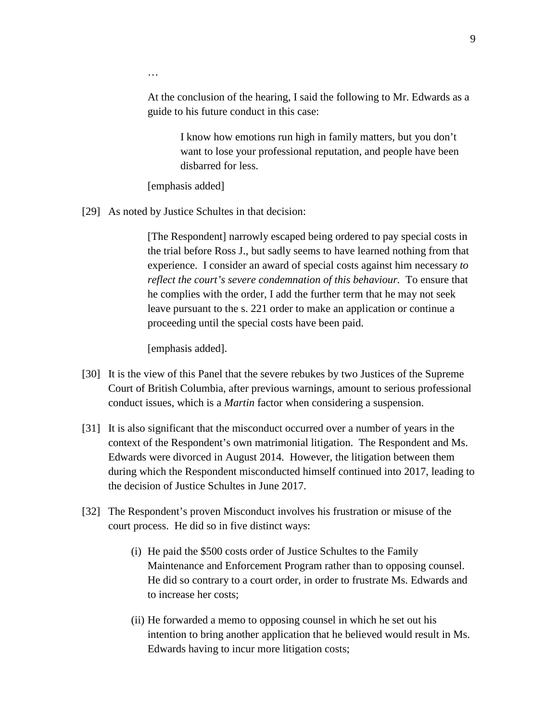At the conclusion of the hearing, I said the following to Mr. Edwards as a guide to his future conduct in this case:

> I know how emotions run high in family matters, but you don't want to lose your professional reputation, and people have been disbarred for less.

[emphasis added]

…

[29] As noted by Justice Schultes in that decision:

[The Respondent] narrowly escaped being ordered to pay special costs in the trial before Ross J., but sadly seems to have learned nothing from that experience. I consider an award of special costs against him necessary *to reflect the court's severe condemnation of this behaviour.* To ensure that he complies with the order, I add the further term that he may not seek leave pursuant to the s. 221 order to make an application or continue a proceeding until the special costs have been paid.

[emphasis added].

- [30] It is the view of this Panel that the severe rebukes by two Justices of the Supreme Court of British Columbia, after previous warnings, amount to serious professional conduct issues, which is a *Martin* factor when considering a suspension.
- [31] It is also significant that the misconduct occurred over a number of years in the context of the Respondent's own matrimonial litigation. The Respondent and Ms. Edwards were divorced in August 2014. However, the litigation between them during which the Respondent misconducted himself continued into 2017, leading to the decision of Justice Schultes in June 2017.
- [32] The Respondent's proven Misconduct involves his frustration or misuse of the court process. He did so in five distinct ways:
	- (i) He paid the \$500 costs order of Justice Schultes to the Family Maintenance and Enforcement Program rather than to opposing counsel. He did so contrary to a court order, in order to frustrate Ms. Edwards and to increase her costs;
	- (ii) He forwarded a memo to opposing counsel in which he set out his intention to bring another application that he believed would result in Ms. Edwards having to incur more litigation costs;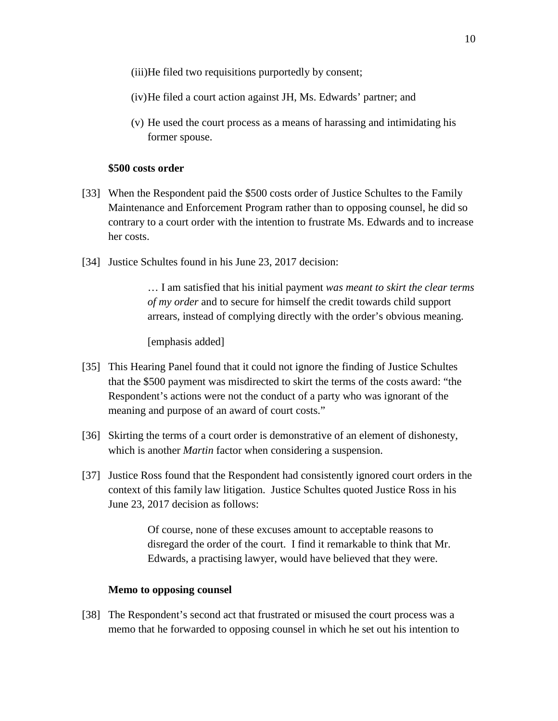(iii)He filed two requisitions purportedly by consent;

- (iv)He filed a court action against JH, Ms. Edwards' partner; and
- (v) He used the court process as a means of harassing and intimidating his former spouse.

#### **\$500 costs order**

- [33] When the Respondent paid the \$500 costs order of Justice Schultes to the Family Maintenance and Enforcement Program rather than to opposing counsel, he did so contrary to a court order with the intention to frustrate Ms. Edwards and to increase her costs.
- [34] Justice Schultes found in his June 23, 2017 decision:

… I am satisfied that his initial payment *was meant to skirt the clear terms of my order* and to secure for himself the credit towards child support arrears, instead of complying directly with the order's obvious meaning.

[emphasis added]

- [35] This Hearing Panel found that it could not ignore the finding of Justice Schultes that the \$500 payment was misdirected to skirt the terms of the costs award: "the Respondent's actions were not the conduct of a party who was ignorant of the meaning and purpose of an award of court costs."
- [36] Skirting the terms of a court order is demonstrative of an element of dishonesty, which is another *Martin* factor when considering a suspension.
- [37] Justice Ross found that the Respondent had consistently ignored court orders in the context of this family law litigation. Justice Schultes quoted Justice Ross in his June 23, 2017 decision as follows:

Of course, none of these excuses amount to acceptable reasons to disregard the order of the court. I find it remarkable to think that Mr. Edwards, a practising lawyer, would have believed that they were.

#### **Memo to opposing counsel**

[38] The Respondent's second act that frustrated or misused the court process was a memo that he forwarded to opposing counsel in which he set out his intention to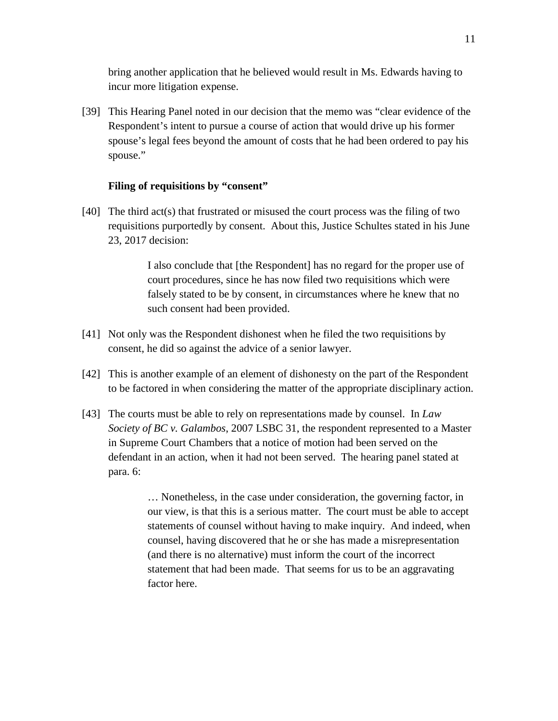bring another application that he believed would result in Ms. Edwards having to incur more litigation expense.

[39] This Hearing Panel noted in our decision that the memo was "clear evidence of the Respondent's intent to pursue a course of action that would drive up his former spouse's legal fees beyond the amount of costs that he had been ordered to pay his spouse."

### **Filing of requisitions by "consent"**

[40] The third act(s) that frustrated or misused the court process was the filing of two requisitions purportedly by consent. About this, Justice Schultes stated in his June 23, 2017 decision:

> I also conclude that [the Respondent] has no regard for the proper use of court procedures, since he has now filed two requisitions which were falsely stated to be by consent, in circumstances where he knew that no such consent had been provided.

- [41] Not only was the Respondent dishonest when he filed the two requisitions by consent, he did so against the advice of a senior lawyer.
- [42] This is another example of an element of dishonesty on the part of the Respondent to be factored in when considering the matter of the appropriate disciplinary action.
- [43] The courts must be able to rely on representations made by counsel. In *Law Society of BC v. Galambos*, 2007 LSBC 31, the respondent represented to a Master in Supreme Court Chambers that a notice of motion had been served on the defendant in an action, when it had not been served. The hearing panel stated at para. 6:

… Nonetheless, in the case under consideration, the governing factor, in our view, is that this is a serious matter. The court must be able to accept statements of counsel without having to make inquiry. And indeed, when counsel, having discovered that he or she has made a misrepresentation (and there is no alternative) must inform the court of the incorrect statement that had been made. That seems for us to be an aggravating factor here.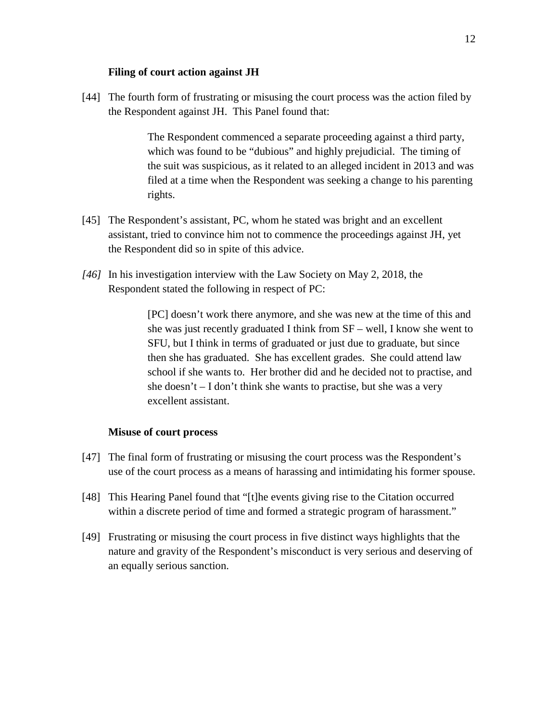### **Filing of court action against JH**

[44] The fourth form of frustrating or misusing the court process was the action filed by the Respondent against JH. This Panel found that:

> The Respondent commenced a separate proceeding against a third party, which was found to be "dubious" and highly prejudicial. The timing of the suit was suspicious, as it related to an alleged incident in 2013 and was filed at a time when the Respondent was seeking a change to his parenting rights.

- [45] The Respondent's assistant, PC, whom he stated was bright and an excellent assistant, tried to convince him not to commence the proceedings against JH, yet the Respondent did so in spite of this advice.
- *[46]* In his investigation interview with the Law Society on May 2, 2018, the Respondent stated the following in respect of PC:

[PC] doesn't work there anymore, and she was new at the time of this and she was just recently graduated I think from SF – well, I know she went to SFU, but I think in terms of graduated or just due to graduate, but since then she has graduated. She has excellent grades. She could attend law school if she wants to. Her brother did and he decided not to practise, and she doesn't – I don't think she wants to practise, but she was a very excellent assistant.

#### **Misuse of court process**

- [47] The final form of frustrating or misusing the court process was the Respondent's use of the court process as a means of harassing and intimidating his former spouse.
- [48] This Hearing Panel found that "[t]he events giving rise to the Citation occurred within a discrete period of time and formed a strategic program of harassment."
- [49] Frustrating or misusing the court process in five distinct ways highlights that the nature and gravity of the Respondent's misconduct is very serious and deserving of an equally serious sanction.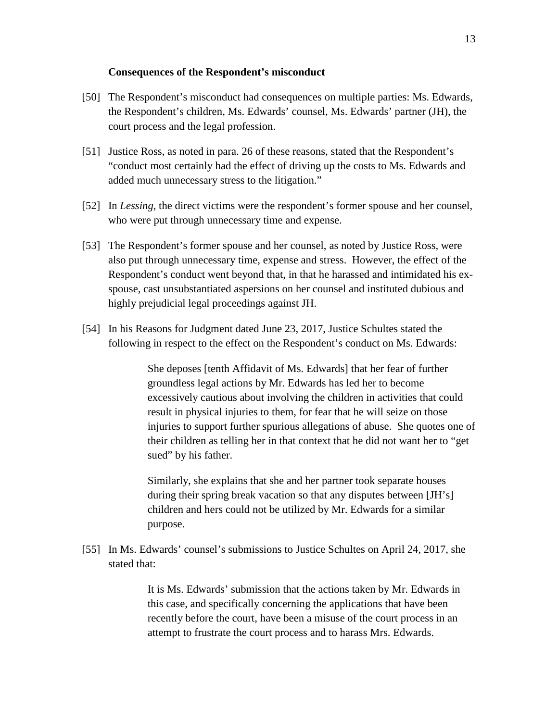#### **Consequences of the Respondent's misconduct**

- [50] The Respondent's misconduct had consequences on multiple parties: Ms. Edwards, the Respondent's children, Ms. Edwards' counsel, Ms. Edwards' partner (JH), the court process and the legal profession.
- [51] Justice Ross, as noted in para. 26 of these reasons, stated that the Respondent's "conduct most certainly had the effect of driving up the costs to Ms. Edwards and added much unnecessary stress to the litigation."
- [52] In *Lessing*, the direct victims were the respondent's former spouse and her counsel, who were put through unnecessary time and expense.
- [53] The Respondent's former spouse and her counsel, as noted by Justice Ross, were also put through unnecessary time, expense and stress. However, the effect of the Respondent's conduct went beyond that, in that he harassed and intimidated his exspouse, cast unsubstantiated aspersions on her counsel and instituted dubious and highly prejudicial legal proceedings against JH.
- [54] In his Reasons for Judgment dated June 23, 2017, Justice Schultes stated the following in respect to the effect on the Respondent's conduct on Ms. Edwards:

She deposes [tenth Affidavit of Ms. Edwards] that her fear of further groundless legal actions by Mr. Edwards has led her to become excessively cautious about involving the children in activities that could result in physical injuries to them, for fear that he will seize on those injuries to support further spurious allegations of abuse. She quotes one of their children as telling her in that context that he did not want her to "get sued" by his father.

Similarly, she explains that she and her partner took separate houses during their spring break vacation so that any disputes between [JH's] children and hers could not be utilized by Mr. Edwards for a similar purpose.

[55] In Ms. Edwards' counsel's submissions to Justice Schultes on April 24, 2017, she stated that:

> It is Ms. Edwards' submission that the actions taken by Mr. Edwards in this case, and specifically concerning the applications that have been recently before the court, have been a misuse of the court process in an attempt to frustrate the court process and to harass Mrs. Edwards.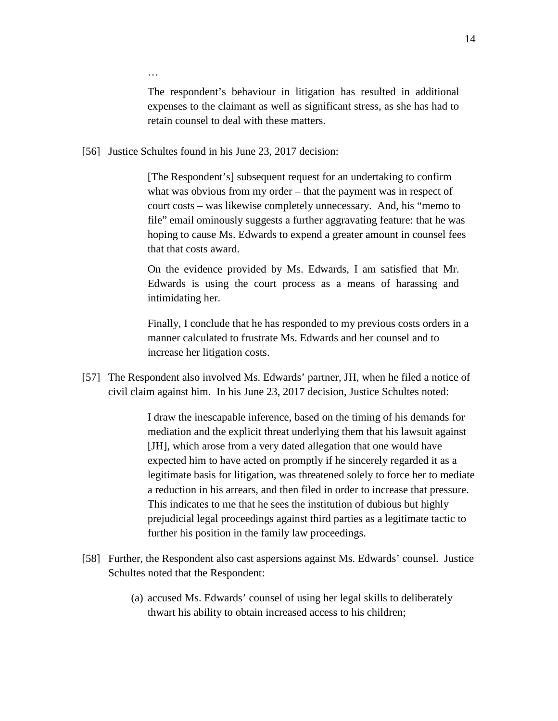…

The respondent's behaviour in litigation has resulted in additional expenses to the claimant as well as significant stress, as she has had to retain counsel to deal with these matters.

[56] Justice Schultes found in his June 23, 2017 decision:

[The Respondent's] subsequent request for an undertaking to confirm what was obvious from my order – that the payment was in respect of court costs – was likewise completely unnecessary. And, his "memo to file" email ominously suggests a further aggravating feature: that he was hoping to cause Ms. Edwards to expend a greater amount in counsel fees that that costs award.

On the evidence provided by Ms. Edwards, I am satisfied that Mr. Edwards is using the court process as a means of harassing and intimidating her.

Finally, I conclude that he has responded to my previous costs orders in a manner calculated to frustrate Ms. Edwards and her counsel and to increase her litigation costs.

[57] The Respondent also involved Ms. Edwards' partner, JH, when he filed a notice of civil claim against him. In his June 23, 2017 decision, Justice Schultes noted:

> I draw the inescapable inference, based on the timing of his demands for mediation and the explicit threat underlying them that his lawsuit against [JH], which arose from a very dated allegation that one would have expected him to have acted on promptly if he sincerely regarded it as a legitimate basis for litigation, was threatened solely to force her to mediate a reduction in his arrears, and then filed in order to increase that pressure. This indicates to me that he sees the institution of dubious but highly prejudicial legal proceedings against third parties as a legitimate tactic to further his position in the family law proceedings.

- [58] Further, the Respondent also cast aspersions against Ms. Edwards' counsel. Justice Schultes noted that the Respondent:
	- (a) accused Ms. Edwards' counsel of using her legal skills to deliberately thwart his ability to obtain increased access to his children;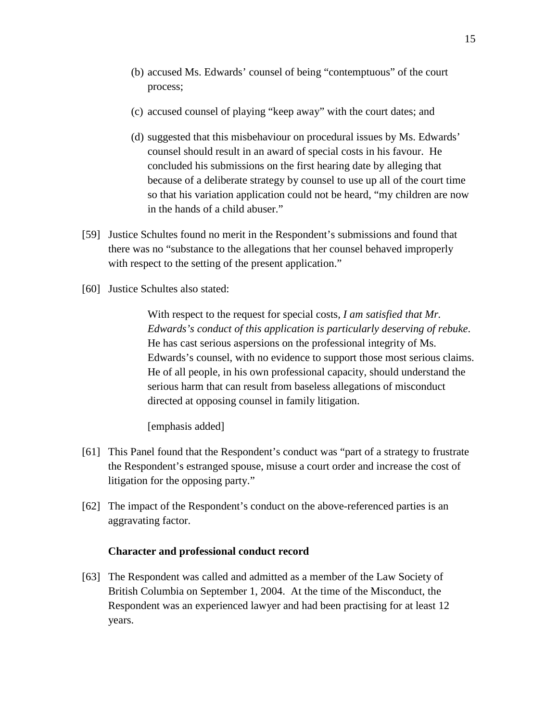- (b) accused Ms. Edwards' counsel of being "contemptuous" of the court process;
- (c) accused counsel of playing "keep away" with the court dates; and
- (d) suggested that this misbehaviour on procedural issues by Ms. Edwards' counsel should result in an award of special costs in his favour. He concluded his submissions on the first hearing date by alleging that because of a deliberate strategy by counsel to use up all of the court time so that his variation application could not be heard, "my children are now in the hands of a child abuser."
- [59] Justice Schultes found no merit in the Respondent's submissions and found that there was no "substance to the allegations that her counsel behaved improperly with respect to the setting of the present application."
- [60] Justice Schultes also stated:

With respect to the request for special costs*, I am satisfied that Mr. Edwards's conduct of this application is particularly deserving of rebuke*. He has cast serious aspersions on the professional integrity of Ms. Edwards's counsel, with no evidence to support those most serious claims. He of all people, in his own professional capacity, should understand the serious harm that can result from baseless allegations of misconduct directed at opposing counsel in family litigation.

[emphasis added]

- [61] This Panel found that the Respondent's conduct was "part of a strategy to frustrate the Respondent's estranged spouse, misuse a court order and increase the cost of litigation for the opposing party."
- [62] The impact of the Respondent's conduct on the above-referenced parties is an aggravating factor.

## **Character and professional conduct record**

[63] The Respondent was called and admitted as a member of the Law Society of British Columbia on September 1, 2004. At the time of the Misconduct, the Respondent was an experienced lawyer and had been practising for at least 12 years.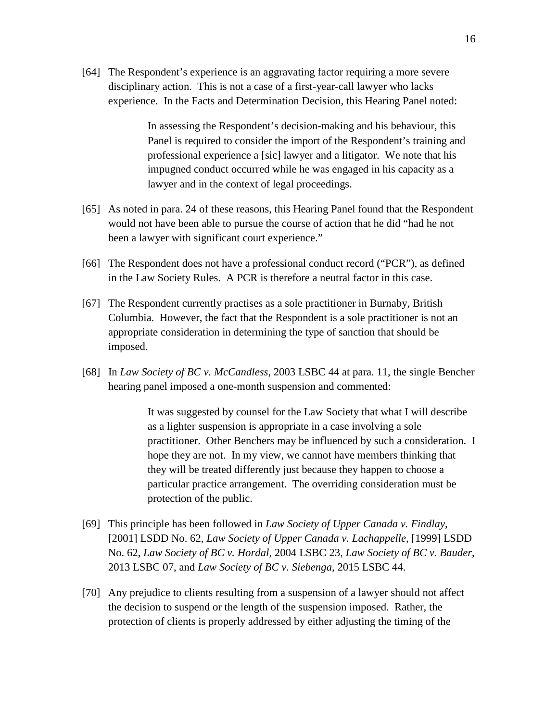[64] The Respondent's experience is an aggravating factor requiring a more severe disciplinary action. This is not a case of a first-year-call lawyer who lacks experience. In the Facts and Determination Decision, this Hearing Panel noted:

> In assessing the Respondent's decision-making and his behaviour, this Panel is required to consider the import of the Respondent's training and professional experience a [sic] lawyer and a litigator. We note that his impugned conduct occurred while he was engaged in his capacity as a lawyer and in the context of legal proceedings.

- [65] As noted in para. 24 of these reasons, this Hearing Panel found that the Respondent would not have been able to pursue the course of action that he did "had he not been a lawyer with significant court experience."
- [66] The Respondent does not have a professional conduct record ("PCR"), as defined in the Law Society Rules. A PCR is therefore a neutral factor in this case.
- [67] The Respondent currently practises as a sole practitioner in Burnaby, British Columbia. However, the fact that the Respondent is a sole practitioner is not an appropriate consideration in determining the type of sanction that should be imposed.
- [68] In *Law Society of BC v. McCandless*, 2003 LSBC 44 at para. 11, the single Bencher hearing panel imposed a one-month suspension and commented:

It was suggested by counsel for the Law Society that what I will describe as a lighter suspension is appropriate in a case involving a sole practitioner. Other Benchers may be influenced by such a consideration. I hope they are not. In my view, we cannot have members thinking that they will be treated differently just because they happen to choose a particular practice arrangement. The overriding consideration must be protection of the public.

- [69] This principle has been followed in *Law Society of Upper Canada v. Findlay*, [2001] LSDD No. 62, *Law Society of Upper Canada v. Lachappelle*, [1999] LSDD No. 62, *Law Society of BC v. Hordal*, 2004 LSBC 23, *Law Society of BC v. Bauder*, 2013 LSBC 07, and *Law Society of BC v. Siebenga*, 2015 LSBC 44.
- [70] Any prejudice to clients resulting from a suspension of a lawyer should not affect the decision to suspend or the length of the suspension imposed. Rather, the protection of clients is properly addressed by either adjusting the timing of the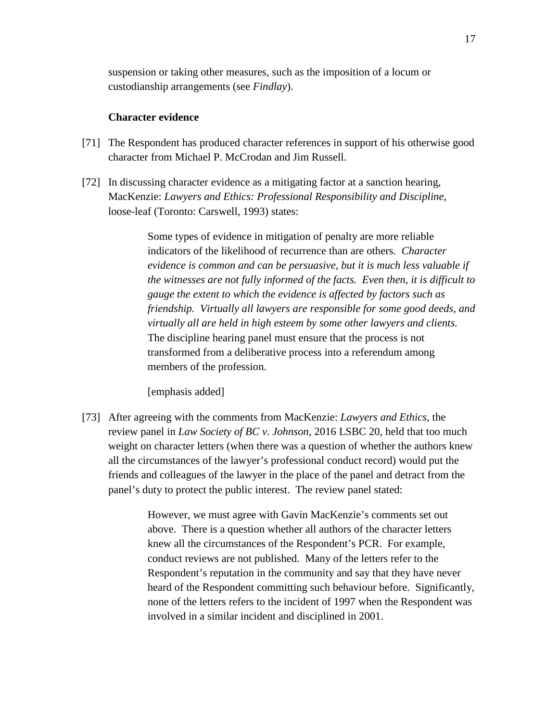suspension or taking other measures, such as the imposition of a locum or custodianship arrangements (see *Findlay*).

## **Character evidence**

- [71] The Respondent has produced character references in support of his otherwise good character from Michael P. McCrodan and Jim Russell.
- [72] In discussing character evidence as a mitigating factor at a sanction hearing, MacKenzie: *Lawyers and Ethics: Professional Responsibility and Discipline*, loose-leaf (Toronto: Carswell, 1993) states:

Some types of evidence in mitigation of penalty are more reliable indicators of the likelihood of recurrence than are others. *Character evidence is common and can be persuasive, but it is much less valuable if the witnesses are not fully informed of the facts. Even then, it is difficult to gauge the extent to which the evidence is affected by factors such as friendship. Virtually all lawyers are responsible for some good deeds, and virtually all are held in high esteem by some other lawyers and clients.*  The discipline hearing panel must ensure that the process is not transformed from a deliberative process into a referendum among members of the profession.

[emphasis added]

[73] After agreeing with the comments from MacKenzie: *Lawyers and Ethics*, the review panel in *Law Society of BC v. Johnson*, 2016 LSBC 20, held that too much weight on character letters (when there was a question of whether the authors knew all the circumstances of the lawyer's professional conduct record) would put the friends and colleagues of the lawyer in the place of the panel and detract from the panel's duty to protect the public interest. The review panel stated:

> However, we must agree with Gavin MacKenzie's comments set out above. There is a question whether all authors of the character letters knew all the circumstances of the Respondent's PCR. For example, conduct reviews are not published. Many of the letters refer to the Respondent's reputation in the community and say that they have never heard of the Respondent committing such behaviour before. Significantly, none of the letters refers to the incident of 1997 when the Respondent was involved in a similar incident and disciplined in 2001.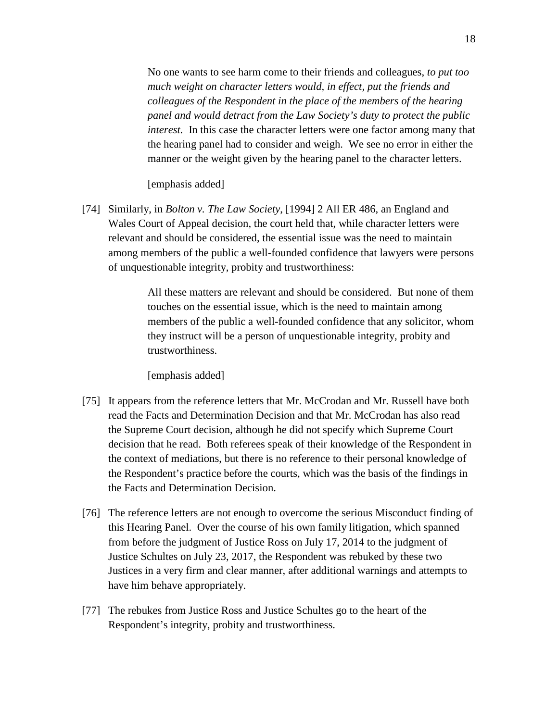No one wants to see harm come to their friends and colleagues, *to put too much weight on character letters would, in effect, put the friends and colleagues of the Respondent in the place of the members of the hearing panel and would detract from the Law Society's duty to protect the public interest.* In this case the character letters were one factor among many that the hearing panel had to consider and weigh. We see no error in either the manner or the weight given by the hearing panel to the character letters.

### [emphasis added]

[74] Similarly, in *Bolton v. The Law Society*, [1994] 2 All ER 486, an England and Wales Court of Appeal decision, the court held that, while character letters were relevant and should be considered, the essential issue was the need to maintain among members of the public a well-founded confidence that lawyers were persons of unquestionable integrity, probity and trustworthiness:

> All these matters are relevant and should be considered. But none of them touches on the essential issue, which is the need to maintain among members of the public a well-founded confidence that any solicitor, whom they instruct will be a person of unquestionable integrity, probity and trustworthiness.

[emphasis added]

- [75] It appears from the reference letters that Mr. McCrodan and Mr. Russell have both read the Facts and Determination Decision and that Mr. McCrodan has also read the Supreme Court decision, although he did not specify which Supreme Court decision that he read. Both referees speak of their knowledge of the Respondent in the context of mediations, but there is no reference to their personal knowledge of the Respondent's practice before the courts, which was the basis of the findings in the Facts and Determination Decision.
- [76] The reference letters are not enough to overcome the serious Misconduct finding of this Hearing Panel. Over the course of his own family litigation, which spanned from before the judgment of Justice Ross on July 17, 2014 to the judgment of Justice Schultes on July 23, 2017, the Respondent was rebuked by these two Justices in a very firm and clear manner, after additional warnings and attempts to have him behave appropriately.
- [77] The rebukes from Justice Ross and Justice Schultes go to the heart of the Respondent's integrity, probity and trustworthiness.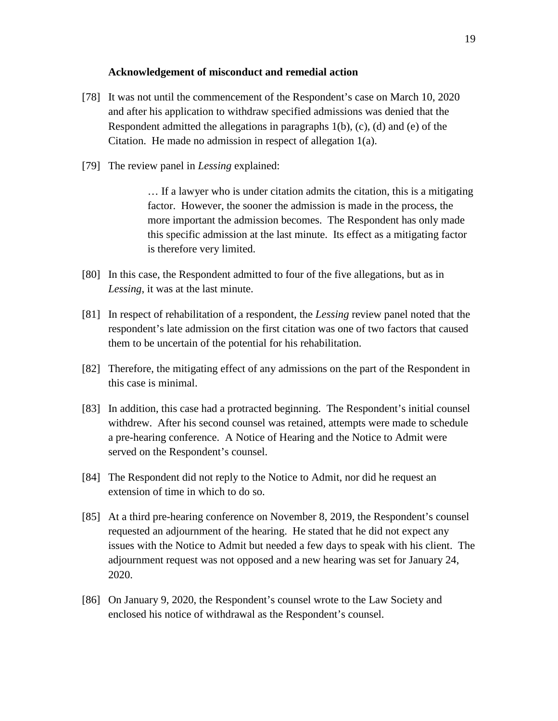#### **Acknowledgement of misconduct and remedial action**

- [78] It was not until the commencement of the Respondent's case on March 10, 2020 and after his application to withdraw specified admissions was denied that the Respondent admitted the allegations in paragraphs 1(b), (c), (d) and (e) of the Citation. He made no admission in respect of allegation 1(a).
- [79] The review panel in *Lessing* explained:

… If a lawyer who is under citation admits the citation, this is a mitigating factor. However, the sooner the admission is made in the process, the more important the admission becomes. The Respondent has only made this specific admission at the last minute. Its effect as a mitigating factor is therefore very limited.

- [80] In this case, the Respondent admitted to four of the five allegations, but as in *Lessing*, it was at the last minute.
- [81] In respect of rehabilitation of a respondent, the *Lessing* review panel noted that the respondent's late admission on the first citation was one of two factors that caused them to be uncertain of the potential for his rehabilitation.
- [82] Therefore, the mitigating effect of any admissions on the part of the Respondent in this case is minimal.
- [83] In addition, this case had a protracted beginning. The Respondent's initial counsel withdrew. After his second counsel was retained, attempts were made to schedule a pre-hearing conference. A Notice of Hearing and the Notice to Admit were served on the Respondent's counsel.
- [84] The Respondent did not reply to the Notice to Admit, nor did he request an extension of time in which to do so.
- [85] At a third pre-hearing conference on November 8, 2019, the Respondent's counsel requested an adjournment of the hearing. He stated that he did not expect any issues with the Notice to Admit but needed a few days to speak with his client. The adjournment request was not opposed and a new hearing was set for January 24, 2020.
- [86] On January 9, 2020, the Respondent's counsel wrote to the Law Society and enclosed his notice of withdrawal as the Respondent's counsel.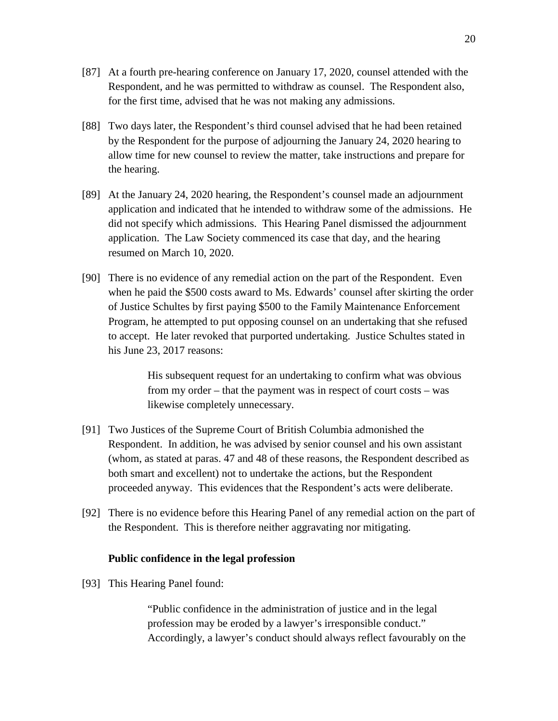- [87] At a fourth pre-hearing conference on January 17, 2020, counsel attended with the Respondent, and he was permitted to withdraw as counsel. The Respondent also, for the first time, advised that he was not making any admissions.
- [88] Two days later, the Respondent's third counsel advised that he had been retained by the Respondent for the purpose of adjourning the January 24, 2020 hearing to allow time for new counsel to review the matter, take instructions and prepare for the hearing.
- [89] At the January 24, 2020 hearing, the Respondent's counsel made an adjournment application and indicated that he intended to withdraw some of the admissions. He did not specify which admissions. This Hearing Panel dismissed the adjournment application. The Law Society commenced its case that day, and the hearing resumed on March 10, 2020.
- [90] There is no evidence of any remedial action on the part of the Respondent. Even when he paid the \$500 costs award to Ms. Edwards' counsel after skirting the order of Justice Schultes by first paying \$500 to the Family Maintenance Enforcement Program, he attempted to put opposing counsel on an undertaking that she refused to accept. He later revoked that purported undertaking. Justice Schultes stated in his June 23, 2017 reasons:

His subsequent request for an undertaking to confirm what was obvious from my order – that the payment was in respect of court costs – was likewise completely unnecessary.

- [91] Two Justices of the Supreme Court of British Columbia admonished the Respondent. In addition, he was advised by senior counsel and his own assistant (whom, as stated at paras. 47 and 48 of these reasons, the Respondent described as both smart and excellent) not to undertake the actions, but the Respondent proceeded anyway. This evidences that the Respondent's acts were deliberate.
- [92] There is no evidence before this Hearing Panel of any remedial action on the part of the Respondent. This is therefore neither aggravating nor mitigating.

## **Public confidence in the legal profession**

[93] This Hearing Panel found:

"Public confidence in the administration of justice and in the legal profession may be eroded by a lawyer's irresponsible conduct." Accordingly, a lawyer's conduct should always reflect favourably on the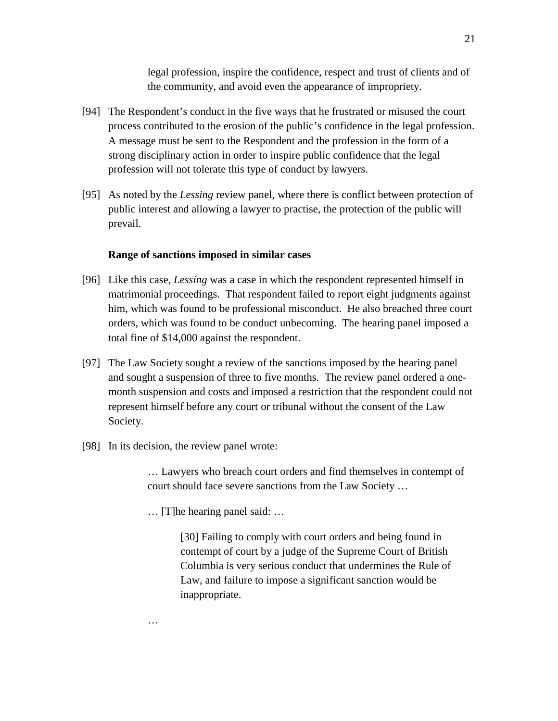legal profession, inspire the confidence, respect and trust of clients and of the community, and avoid even the appearance of impropriety.

- [94] The Respondent's conduct in the five ways that he frustrated or misused the court process contributed to the erosion of the public's confidence in the legal profession. A message must be sent to the Respondent and the profession in the form of a strong disciplinary action in order to inspire public confidence that the legal profession will not tolerate this type of conduct by lawyers.
- [95] As noted by the *Lessing* review panel, where there is conflict between protection of public interest and allowing a lawyer to practise, the protection of the public will prevail.

#### **Range of sanctions imposed in similar cases**

- [96] Like this case, *Lessing* was a case in which the respondent represented himself in matrimonial proceedings. That respondent failed to report eight judgments against him, which was found to be professional misconduct. He also breached three court orders, which was found to be conduct unbecoming. The hearing panel imposed a total fine of \$14,000 against the respondent.
- [97] The Law Society sought a review of the sanctions imposed by the hearing panel and sought a suspension of three to five months. The review panel ordered a onemonth suspension and costs and imposed a restriction that the respondent could not represent himself before any court or tribunal without the consent of the Law Society.
- [98] In its decision, the review panel wrote:

…

… Lawyers who breach court orders and find themselves in contempt of court should face severe sanctions from the Law Society …

… [T]he hearing panel said: …

[30] Failing to comply with court orders and being found in contempt of court by a judge of the Supreme Court of British Columbia is very serious conduct that undermines the Rule of Law, and failure to impose a significant sanction would be inappropriate.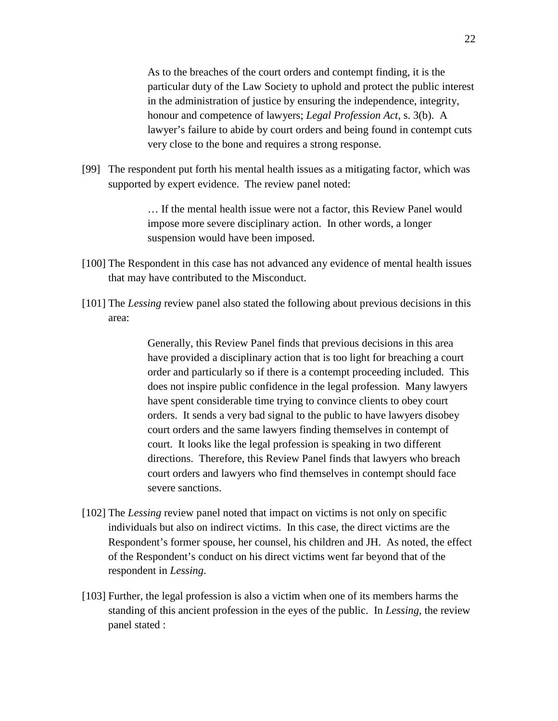As to the breaches of the court orders and contempt finding, it is the particular duty of the Law Society to uphold and protect the public interest in the administration of justice by ensuring the independence, integrity, honour and competence of lawyers; *Legal Profession Act*, s. 3(b). A lawyer's failure to abide by court orders and being found in contempt cuts very close to the bone and requires a strong response.

[99] The respondent put forth his mental health issues as a mitigating factor, which was supported by expert evidence. The review panel noted:

> … If the mental health issue were not a factor, this Review Panel would impose more severe disciplinary action. In other words, a longer suspension would have been imposed.

- [100] The Respondent in this case has not advanced any evidence of mental health issues that may have contributed to the Misconduct.
- [101] The *Lessing* review panel also stated the following about previous decisions in this area:

Generally, this Review Panel finds that previous decisions in this area have provided a disciplinary action that is too light for breaching a court order and particularly so if there is a contempt proceeding included. This does not inspire public confidence in the legal profession. Many lawyers have spent considerable time trying to convince clients to obey court orders. It sends a very bad signal to the public to have lawyers disobey court orders and the same lawyers finding themselves in contempt of court. It looks like the legal profession is speaking in two different directions. Therefore, this Review Panel finds that lawyers who breach court orders and lawyers who find themselves in contempt should face severe sanctions.

- [102] The *Lessing* review panel noted that impact on victims is not only on specific individuals but also on indirect victims. In this case, the direct victims are the Respondent's former spouse, her counsel, his children and JH. As noted, the effect of the Respondent's conduct on his direct victims went far beyond that of the respondent in *Lessing*.
- [103] Further, the legal profession is also a victim when one of its members harms the standing of this ancient profession in the eyes of the public. In *Lessing*, the review panel stated :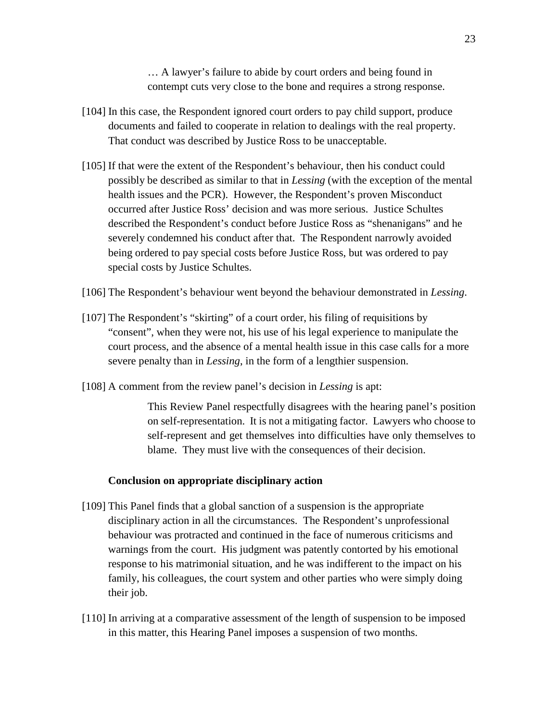… A lawyer's failure to abide by court orders and being found in contempt cuts very close to the bone and requires a strong response.

- [104] In this case, the Respondent ignored court orders to pay child support, produce documents and failed to cooperate in relation to dealings with the real property. That conduct was described by Justice Ross to be unacceptable.
- [105] If that were the extent of the Respondent's behaviour, then his conduct could possibly be described as similar to that in *Lessing* (with the exception of the mental health issues and the PCR). However, the Respondent's proven Misconduct occurred after Justice Ross' decision and was more serious. Justice Schultes described the Respondent's conduct before Justice Ross as "shenanigans" and he severely condemned his conduct after that. The Respondent narrowly avoided being ordered to pay special costs before Justice Ross, but was ordered to pay special costs by Justice Schultes.
- [106] The Respondent's behaviour went beyond the behaviour demonstrated in *Lessing*.
- [107] The Respondent's "skirting" of a court order, his filing of requisitions by "consent", when they were not, his use of his legal experience to manipulate the court process, and the absence of a mental health issue in this case calls for a more severe penalty than in *Lessing*, in the form of a lengthier suspension.
- [108] A comment from the review panel's decision in *Lessing* is apt:

This Review Panel respectfully disagrees with the hearing panel's position on self-representation. It is not a mitigating factor. Lawyers who choose to self-represent and get themselves into difficulties have only themselves to blame. They must live with the consequences of their decision.

## **Conclusion on appropriate disciplinary action**

- [109] This Panel finds that a global sanction of a suspension is the appropriate disciplinary action in all the circumstances. The Respondent's unprofessional behaviour was protracted and continued in the face of numerous criticisms and warnings from the court. His judgment was patently contorted by his emotional response to his matrimonial situation, and he was indifferent to the impact on his family, his colleagues, the court system and other parties who were simply doing their job.
- [110] In arriving at a comparative assessment of the length of suspension to be imposed in this matter, this Hearing Panel imposes a suspension of two months.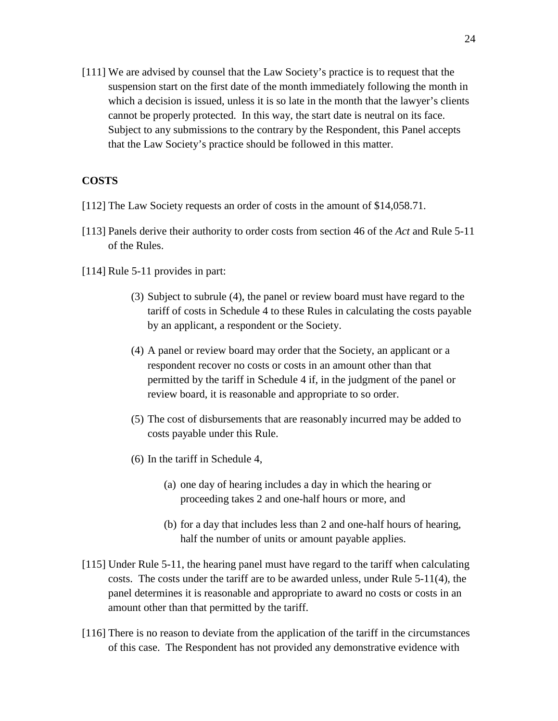[111] We are advised by counsel that the Law Society's practice is to request that the suspension start on the first date of the month immediately following the month in which a decision is issued, unless it is so late in the month that the lawyer's clients cannot be properly protected. In this way, the start date is neutral on its face. Subject to any submissions to the contrary by the Respondent, this Panel accepts that the Law Society's practice should be followed in this matter.

## **COSTS**

- [112] The Law Society requests an order of costs in the amount of \$14,058.71.
- [113] Panels derive their authority to order costs from section 46 of the *Act* and Rule 5-11 of the Rules.
- [114] Rule 5-11 provides in part:
	- (3) Subject to subrule (4), the panel or review board must have regard to the tariff of costs in Schedule 4 to these Rules in calculating the costs payable by an applicant, a respondent or the Society.
	- (4) A panel or review board may order that the Society, an applicant or a respondent recover no costs or costs in an amount other than that permitted by the tariff in Schedule 4 if, in the judgment of the panel or review board, it is reasonable and appropriate to so order.
	- (5) The cost of disbursements that are reasonably incurred may be added to costs payable under this Rule.
	- (6) In the tariff in Schedule 4,
		- (a) one day of hearing includes a day in which the hearing or proceeding takes 2 and one-half hours or more, and
		- (b) for a day that includes less than 2 and one-half hours of hearing, half the number of units or amount payable applies.
- [115] Under Rule 5-11, the hearing panel must have regard to the tariff when calculating costs. The costs under the tariff are to be awarded unless, under Rule 5-11(4), the panel determines it is reasonable and appropriate to award no costs or costs in an amount other than that permitted by the tariff.
- [116] There is no reason to deviate from the application of the tariff in the circumstances of this case. The Respondent has not provided any demonstrative evidence with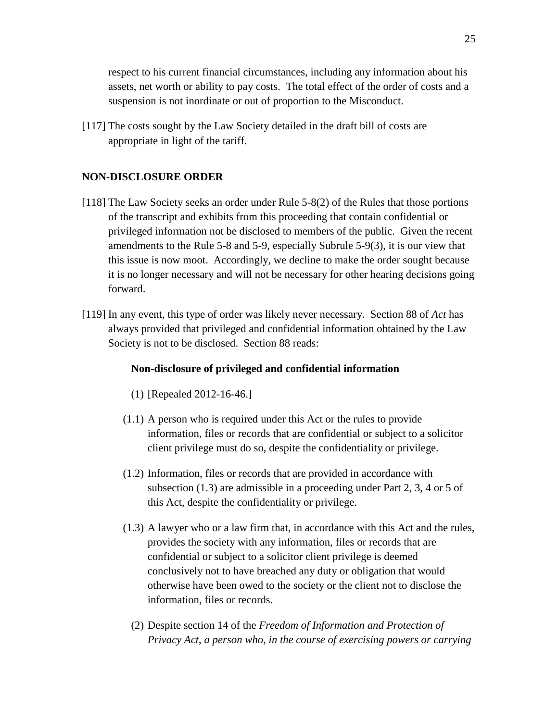respect to his current financial circumstances, including any information about his assets, net worth or ability to pay costs. The total effect of the order of costs and a suspension is not inordinate or out of proportion to the Misconduct.

[117] The costs sought by the Law Society detailed in the draft bill of costs are appropriate in light of the tariff.

## **NON-DISCLOSURE ORDER**

- [118] The Law Society seeks an order under Rule 5-8(2) of the Rules that those portions of the transcript and exhibits from this proceeding that contain confidential or privileged information not be disclosed to members of the public. Given the recent amendments to the Rule 5-8 and 5-9, especially Subrule 5-9(3), it is our view that this issue is now moot. Accordingly, we decline to make the order sought because it is no longer necessary and will not be necessary for other hearing decisions going forward.
- [119] In any event, this type of order was likely never necessary. Section 88 of *Act* has always provided that privileged and confidential information obtained by the Law Society is not to be disclosed. Section 88 reads:

#### **Non-disclosure of privileged and confidential information**

- (1) [Repealed 2012-16-46.]
- (1.1) A person who is required under this Act or the rules to provide information, files or records that are confidential or subject to a solicitor client privilege must do so, despite the confidentiality or privilege.
- (1.2) Information, files or records that are provided in accordance with subsection (1.3) are admissible in a proceeding under Part 2, 3, 4 or 5 of this Act, despite the confidentiality or privilege.
- (1.3) A lawyer who or a law firm that, in accordance with this Act and the rules, provides the society with any information, files or records that are confidential or subject to a solicitor client privilege is deemed conclusively not to have breached any duty or obligation that would otherwise have been owed to the society or the client not to disclose the information, files or records.
	- (2) Despite section 14 of the *Freedom of Information and Protection of Privacy Act*, *a person who, in the course of exercising powers or carrying*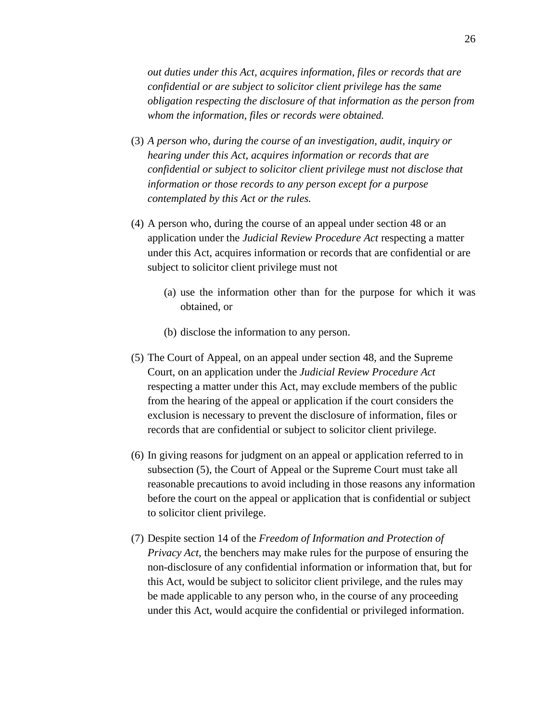*out duties under this Act, acquires information, files or records that are confidential or are subject to solicitor client privilege has the same obligation respecting the disclosure of that information as the person from whom the information, files or records were obtained.*

- (3) *A person who, during the course of an investigation, audit, inquiry or hearing under this Act, acquires information or records that are confidential or subject to solicitor client privilege must not disclose that information or those records to any person except for a purpose contemplated by this Act or the rules.*
- (4) A person who, during the course of an appeal under section 48 or an application under the *Judicial Review Procedure Act* respecting a matter under this Act, acquires information or records that are confidential or are subject to solicitor client privilege must not
	- (a) use the information other than for the purpose for which it was obtained, or
	- (b) disclose the information to any person.
- (5) The Court of Appeal, on an appeal under section 48, and the Supreme Court, on an application under the *Judicial Review Procedure Act* respecting a matter under this Act, may exclude members of the public from the hearing of the appeal or application if the court considers the exclusion is necessary to prevent the disclosure of information, files or records that are confidential or subject to solicitor client privilege.
- (6) In giving reasons for judgment on an appeal or application referred to in subsection (5), the Court of Appeal or the Supreme Court must take all reasonable precautions to avoid including in those reasons any information before the court on the appeal or application that is confidential or subject to solicitor client privilege.
- (7) Despite section 14 of the *Freedom of Information and Protection of Privacy Act*, the benchers may make rules for the purpose of ensuring the non-disclosure of any confidential information or information that, but for this Act, would be subject to solicitor client privilege, and the rules may be made applicable to any person who, in the course of any proceeding under this Act, would acquire the confidential or privileged information.